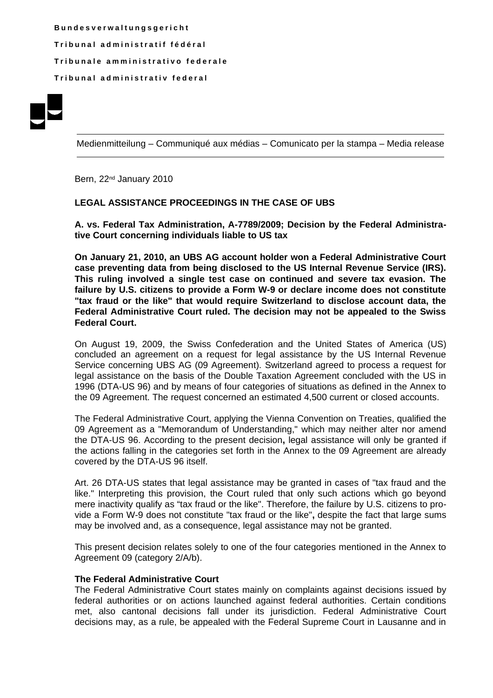**B u n d e s v e r w a l t u n g s g e r i c h t T r i b u n a l a d m i n i s t r a t i f f é d é r a l T r i b u n a l e a m m i n i s t r a t i v o f e d e r a l e T r i b u n a l a d m i n i s t r a t i v f e d e r a l**



Medienmitteilung – Communiqué aux médias – Comunicato per la stampa – Media release

Bern, 22<sup>nd</sup> January 2010

## **LEGAL ASSISTANCE PROCEEDINGS IN THE CASE OF UBS**

**A. vs. Federal Tax Administration, A-7789/2009; Decision by the Federal Administrative Court concerning individuals liable to US tax** 

**On January 21, 2010, an UBS AG account holder won a Federal Administrative Court case preventing data from being disclosed to the US Internal Revenue Service (IRS). This ruling involved a single test case on continued and severe tax evasion. The failure by U.S. citizens to provide a Form W-9 or declare income does not constitute "tax fraud or the like" that would require Switzerland to disclose account data, the Federal Administrative Court ruled. The decision may not be appealed to the Swiss Federal Court.**

On August 19, 2009, the Swiss Confederation and the United States of America (US) concluded an agreement on a request for legal assistance by the US Internal Revenue Service concerning UBS AG (09 Agreement). Switzerland agreed to process a request for legal assistance on the basis of the Double Taxation Agreement concluded with the US in 1996 (DTA-US 96) and by means of four categories of situations as defined in the Annex to the 09 Agreement. The request concerned an estimated 4,500 current or closed accounts.

The Federal Administrative Court, applying the Vienna Convention on Treaties, qualified the 09 Agreement as a "Memorandum of Understanding," which may neither alter nor amend the DTA-US 96. According to the present decision**,** legal assistance will only be granted if the actions falling in the categories set forth in the Annex to the 09 Agreement are already covered by the DTA-US 96 itself.

Art. 26 DTA-US states that legal assistance may be granted in cases of "tax fraud and the like." Interpreting this provision, the Court ruled that only such actions which go beyond mere inactivity qualify as "tax fraud or the like". Therefore, the failure by U.S. citizens to provide a Form W-9 does not constitute "tax fraud or the like"**,** despite the fact that large sums may be involved and, as a consequence, legal assistance may not be granted.

This present decision relates solely to one of the four categories mentioned in the Annex to Agreement 09 (category 2/A/b).

## **The Federal Administrative Court**

The Federal Administrative Court states mainly on complaints against decisions issued by federal authorities or on actions launched against federal authorities. Certain conditions met, also cantonal decisions fall under its jurisdiction. Federal Administrative Court decisions may, as a rule, be appealed with the Federal Supreme Court in Lausanne and in